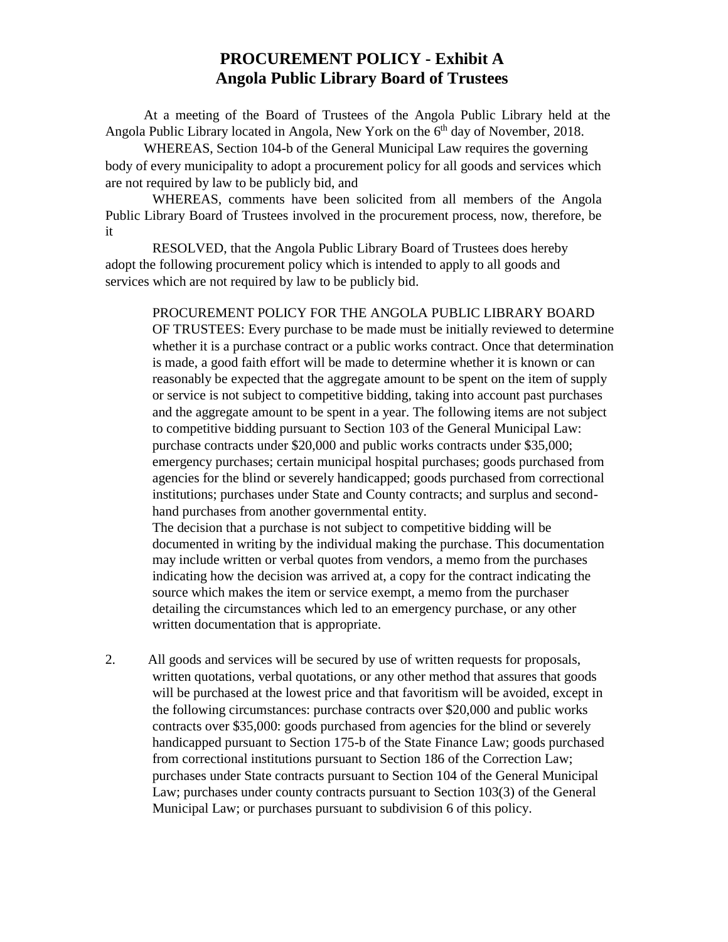## **PROCUREMENT POLICY - Exhibit A Angola Public Library Board of Trustees**

At a meeting of the Board of Trustees of the Angola Public Library held at the Angola Public Library located in Angola, New York on the 6<sup>th</sup> day of November, 2018.

WHEREAS, Section 104-b of the General Municipal Law requires the governing body of every municipality to adopt a procurement policy for all goods and services which are not required by law to be publicly bid, and

WHEREAS, comments have been solicited from all members of the Angola Public Library Board of Trustees involved in the procurement process, now, therefore, be it

RESOLVED, that the Angola Public Library Board of Trustees does hereby adopt the following procurement policy which is intended to apply to all goods and services which are not required by law to be publicly bid.

PROCUREMENT POLICY FOR THE ANGOLA PUBLIC LIBRARY BOARD OF TRUSTEES: Every purchase to be made must be initially reviewed to determine whether it is a purchase contract or a public works contract. Once that determination is made, a good faith effort will be made to determine whether it is known or can reasonably be expected that the aggregate amount to be spent on the item of supply or service is not subject to competitive bidding, taking into account past purchases and the aggregate amount to be spent in a year. The following items are not subject to competitive bidding pursuant to Section 103 of the General Municipal Law: purchase contracts under \$20,000 and public works contracts under \$35,000; emergency purchases; certain municipal hospital purchases; goods purchased from agencies for the blind or severely handicapped; goods purchased from correctional institutions; purchases under State and County contracts; and surplus and secondhand purchases from another governmental entity.

The decision that a purchase is not subject to competitive bidding will be documented in writing by the individual making the purchase. This documentation may include written or verbal quotes from vendors, a memo from the purchases indicating how the decision was arrived at, a copy for the contract indicating the source which makes the item or service exempt, a memo from the purchaser detailing the circumstances which led to an emergency purchase, or any other written documentation that is appropriate.

2. All goods and services will be secured by use of written requests for proposals, written quotations, verbal quotations, or any other method that assures that goods will be purchased at the lowest price and that favoritism will be avoided, except in the following circumstances: purchase contracts over \$20,000 and public works contracts over \$35,000: goods purchased from agencies for the blind or severely handicapped pursuant to Section 175-b of the State Finance Law; goods purchased from correctional institutions pursuant to Section 186 of the Correction Law; purchases under State contracts pursuant to Section 104 of the General Municipal Law; purchases under county contracts pursuant to Section 103(3) of the General Municipal Law; or purchases pursuant to subdivision 6 of this policy.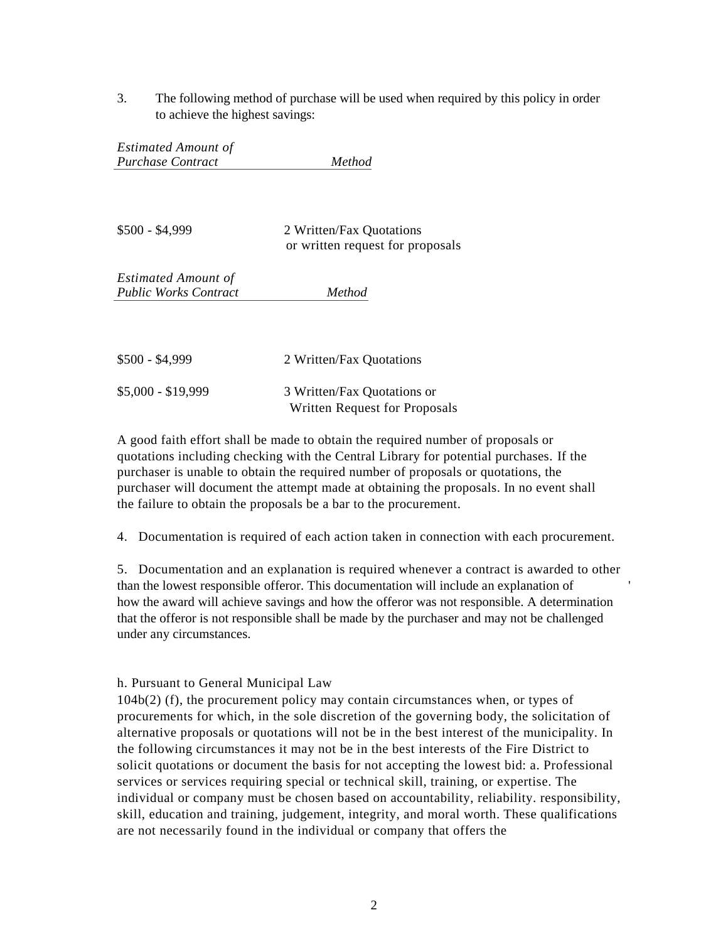3. The following method of purchase will be used when required by this policy in order to achieve the highest savings:

*Estimated Amount of Purchase Contract Method*

\$500 - \$4,999 2 Written/Fax Quotations or written request for proposals *Estimated Amount of*

*Public Works Contract Method*

| $$500 - $4,999$    | 2 Written/Fax Quotations      |
|--------------------|-------------------------------|
| $$5,000 - $19,999$ | 3 Written/Fax Quotations or   |
|                    | Written Request for Proposals |

A good faith effort shall be made to obtain the required number of proposals or quotations including checking with the Central Library for potential purchases. If the purchaser is unable to obtain the required number of proposals or quotations, the purchaser will document the attempt made at obtaining the proposals. In no event shall the failure to obtain the proposals be a bar to the procurement.

4. Documentation is required of each action taken in connection with each procurement.

5. Documentation and an explanation is required whenever a contract is awarded to other than the lowest responsible offeror. This documentation will include an explanation of ' how the award will achieve savings and how the offeror was not responsible. A determination that the offeror is not responsible shall be made by the purchaser and may not be challenged under any circumstances.

## h. Pursuant to General Municipal Law

104b(2) (f), the procurement policy may contain circumstances when, or types of procurements for which, in the sole discretion of the governing body, the solicitation of alternative proposals or quotations will not be in the best interest of the municipality. In the following circumstances it may not be in the best interests of the Fire District to solicit quotations or document the basis for not accepting the lowest bid: a. Professional services or services requiring special or technical skill, training, or expertise. The individual or company must be chosen based on accountability, reliability. responsibility, skill, education and training, judgement, integrity, and moral worth. These qualifications are not necessarily found in the individual or company that offers the